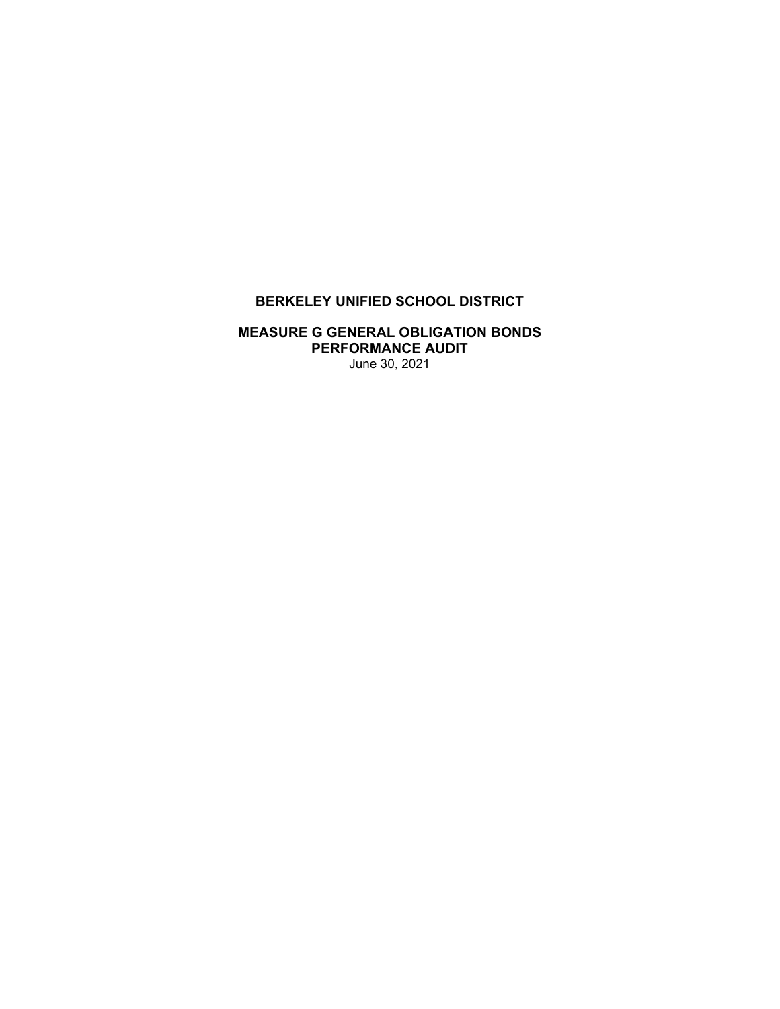# **BERKELEY UNIFIED SCHOOL DISTRICT**

#### **MEASURE G GENERAL OBLIGATION BONDS PERFORMANCE AUDIT**  June 30, 2021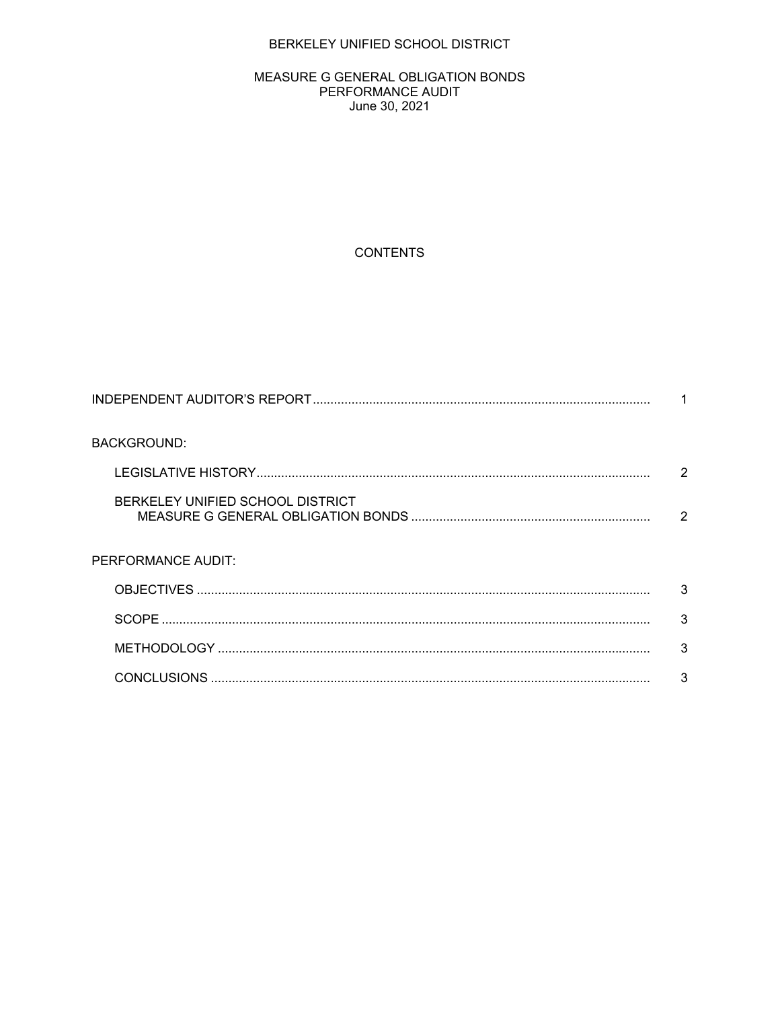### BERKELEY UNIFIED SCHOOL DISTRICT

#### MEASURE G GENERAL OBLIGATION BONDS PERFORMANCE AUDIT June 30, 2021

## **CONTENTS**

| <b>BACKGROUND:</b>               |   |
|----------------------------------|---|
|                                  | 2 |
| BERKELEY UNIFIED SCHOOL DISTRICT | 2 |
| PERFORMANCE AUDIT:               |   |
|                                  | 3 |
|                                  | 3 |
|                                  | 3 |
|                                  | 3 |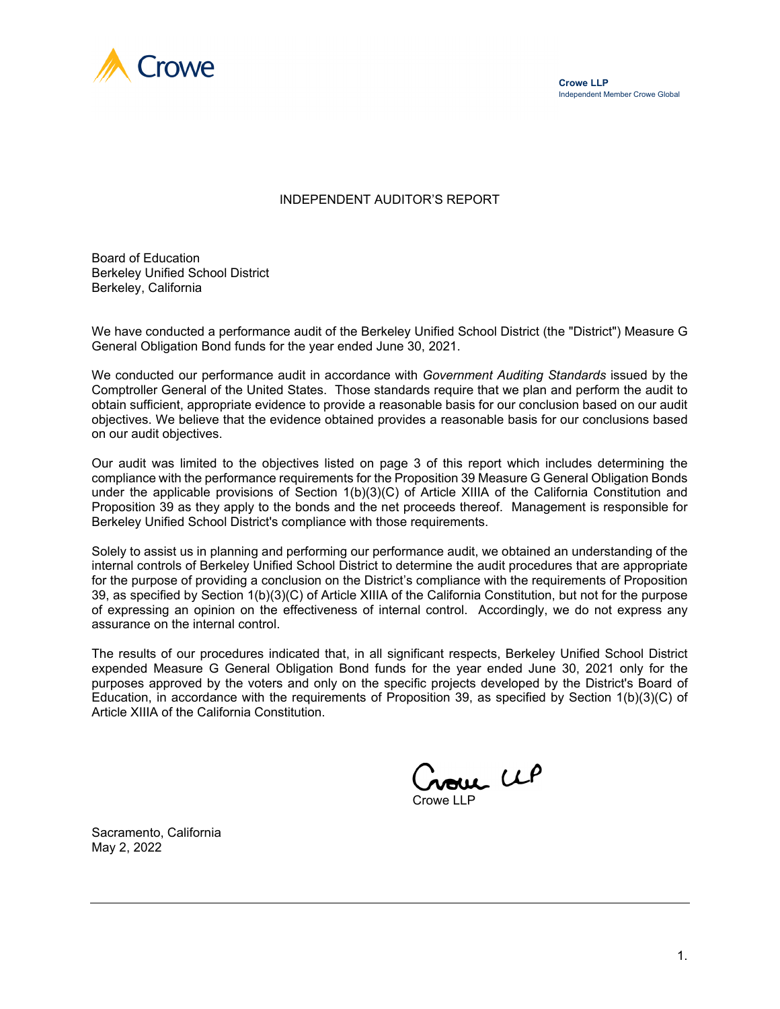

#### INDEPENDENT AUDITOR'S REPORT

Board of Education Berkeley Unified School District Berkeley, California

We have conducted a performance audit of the Berkeley Unified School District (the "District") Measure G General Obligation Bond funds for the year ended June 30, 2021.

We conducted our performance audit in accordance with *Government Auditing Standards* issued by the Comptroller General of the United States. Those standards require that we plan and perform the audit to obtain sufficient, appropriate evidence to provide a reasonable basis for our conclusion based on our audit objectives. We believe that the evidence obtained provides a reasonable basis for our conclusions based on our audit objectives.

Our audit was limited to the objectives listed on page 3 of this report which includes determining the compliance with the performance requirements for the Proposition 39 Measure G General Obligation Bonds under the applicable provisions of Section 1(b)(3)(C) of Article XIIIA of the California Constitution and Proposition 39 as they apply to the bonds and the net proceeds thereof. Management is responsible for Berkeley Unified School District's compliance with those requirements.

Solely to assist us in planning and performing our performance audit, we obtained an understanding of the internal controls of Berkeley Unified School District to determine the audit procedures that are appropriate for the purpose of providing a conclusion on the District's compliance with the requirements of Proposition 39, as specified by Section 1(b)(3)(C) of Article XIIIA of the California Constitution, but not for the purpose of expressing an opinion on the effectiveness of internal control. Accordingly, we do not express any assurance on the internal control.

The results of our procedures indicated that, in all significant respects, Berkeley Unified School District expended Measure G General Obligation Bond funds for the year ended June 30, 2021 only for the purposes approved by the voters and only on the specific projects developed by the District's Board of Education, in accordance with the requirements of Proposition 39, as specified by Section 1(b)(3)(C) of Article XIIIA of the California Constitution.

nome UP Crowe LLP

Sacramento, California May 2, 2022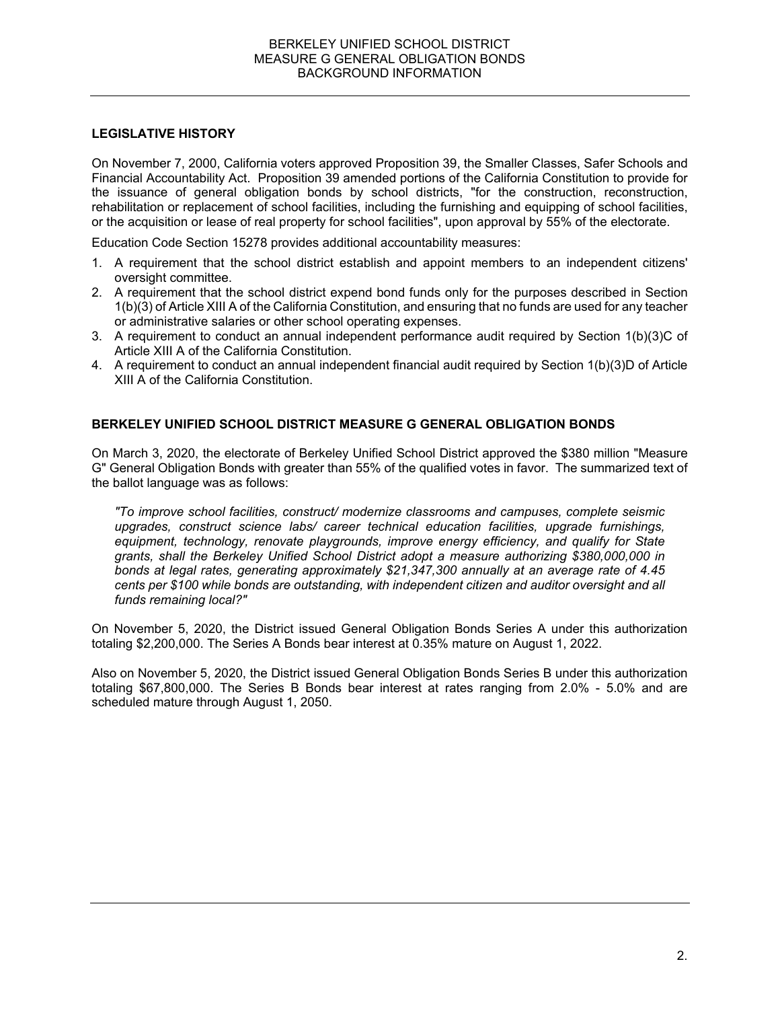#### **LEGISLATIVE HISTORY**

On November 7, 2000, California voters approved Proposition 39, the Smaller Classes, Safer Schools and Financial Accountability Act. Proposition 39 amended portions of the California Constitution to provide for the issuance of general obligation bonds by school districts, "for the construction, reconstruction, rehabilitation or replacement of school facilities, including the furnishing and equipping of school facilities, or the acquisition or lease of real property for school facilities", upon approval by 55% of the electorate.

Education Code Section 15278 provides additional accountability measures:

- 1. A requirement that the school district establish and appoint members to an independent citizens' oversight committee.
- 2. A requirement that the school district expend bond funds only for the purposes described in Section 1(b)(3) of Article XIII A of the California Constitution, and ensuring that no funds are used for any teacher or administrative salaries or other school operating expenses.
- 3. A requirement to conduct an annual independent performance audit required by Section 1(b)(3)C of Article XIII A of the California Constitution.
- 4. A requirement to conduct an annual independent financial audit required by Section 1(b)(3)D of Article XIII A of the California Constitution.

### **BERKELEY UNIFIED SCHOOL DISTRICT MEASURE G GENERAL OBLIGATION BONDS**

On March 3, 2020, the electorate of Berkeley Unified School District approved the \$380 million "Measure G" General Obligation Bonds with greater than 55% of the qualified votes in favor. The summarized text of the ballot language was as follows:

*"To improve school facilities, construct/ modernize classrooms and campuses, complete seismic upgrades, construct science labs/ career technical education facilities, upgrade furnishings, equipment, technology, renovate playgrounds, improve energy efficiency, and qualify for State grants, shall the Berkeley Unified School District adopt a measure authorizing \$380,000,000 in bonds at legal rates, generating approximately \$21,347,300 annually at an average rate of 4.45 cents per \$100 while bonds are outstanding, with independent citizen and auditor oversight and all funds remaining local?"* 

On November 5, 2020, the District issued General Obligation Bonds Series A under this authorization totaling \$2,200,000. The Series A Bonds bear interest at 0.35% mature on August 1, 2022.

Also on November 5, 2020, the District issued General Obligation Bonds Series B under this authorization totaling \$67,800,000. The Series B Bonds bear interest at rates ranging from 2.0% - 5.0% and are scheduled mature through August 1, 2050.